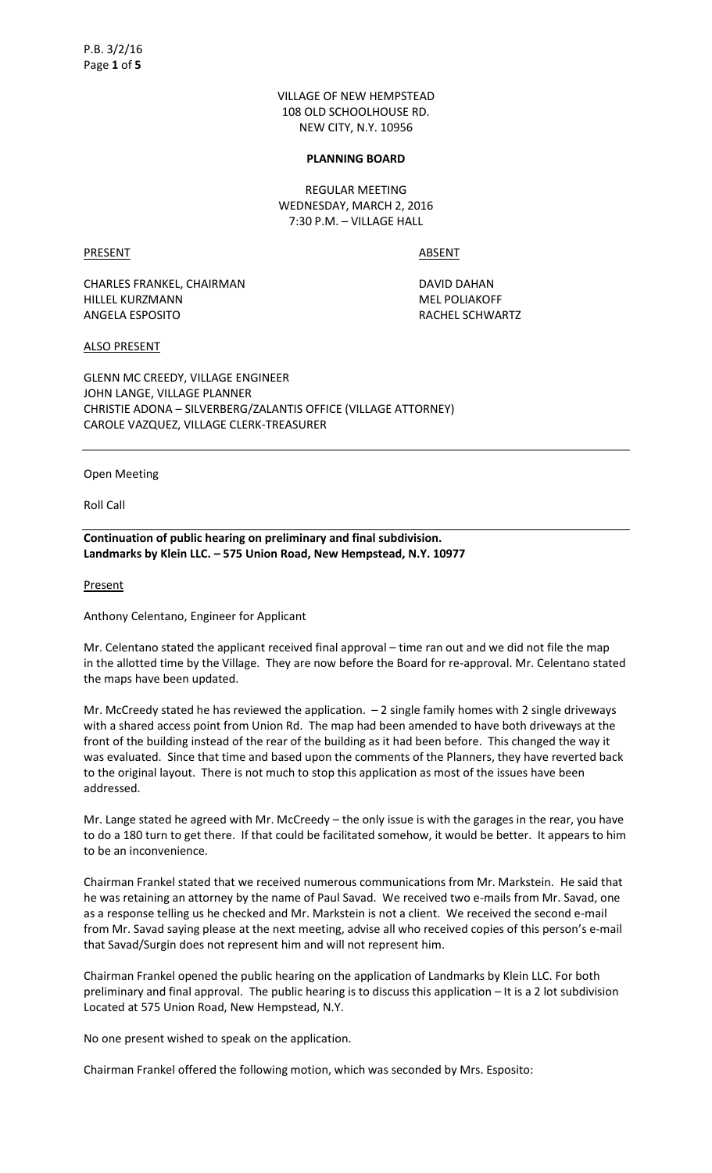VILLAGE OF NEW HEMPSTEAD 108 OLD SCHOOLHOUSE RD. NEW CITY, N.Y. 10956

#### **PLANNING BOARD**

REGULAR MEETING WEDNESDAY, MARCH 2, 2016 7:30 P.M. – VILLAGE HALL

PRESENT ABSENT

CHARLES FRANKEL, CHAIRMAN DAVID DAHAN HILLEL KURZMANN MEL POLIAKOFF ANGELA ESPOSITO RACHEL SCHWARTZ

ALSO PRESENT

GLENN MC CREEDY, VILLAGE ENGINEER JOHN LANGE, VILLAGE PLANNER CHRISTIE ADONA – SILVERBERG/ZALANTIS OFFICE (VILLAGE ATTORNEY) CAROLE VAZQUEZ, VILLAGE CLERK-TREASURER

Open Meeting

Roll Call

**Continuation of public hearing on preliminary and final subdivision. Landmarks by Klein LLC. – 575 Union Road, New Hempstead, N.Y. 10977** 

Present

Anthony Celentano, Engineer for Applicant

Mr. Celentano stated the applicant received final approval – time ran out and we did not file the map in the allotted time by the Village. They are now before the Board for re-approval. Mr. Celentano stated the maps have been updated.

Mr. McCreedy stated he has reviewed the application.  $-2$  single family homes with 2 single driveways with a shared access point from Union Rd. The map had been amended to have both driveways at the front of the building instead of the rear of the building as it had been before. This changed the way it was evaluated. Since that time and based upon the comments of the Planners, they have reverted back to the original layout. There is not much to stop this application as most of the issues have been addressed.

Mr. Lange stated he agreed with Mr. McCreedy – the only issue is with the garages in the rear, you have to do a 180 turn to get there. If that could be facilitated somehow, it would be better. It appears to him to be an inconvenience.

Chairman Frankel stated that we received numerous communications from Mr. Markstein. He said that he was retaining an attorney by the name of Paul Savad. We received two e-mails from Mr. Savad, one as a response telling us he checked and Mr. Markstein is not a client. We received the second e-mail from Mr. Savad saying please at the next meeting, advise all who received copies of this person's e-mail that Savad/Surgin does not represent him and will not represent him.

Chairman Frankel opened the public hearing on the application of Landmarks by Klein LLC. For both preliminary and final approval. The public hearing is to discuss this application – It is a 2 lot subdivision Located at 575 Union Road, New Hempstead, N.Y.

No one present wished to speak on the application.

Chairman Frankel offered the following motion, which was seconded by Mrs. Esposito: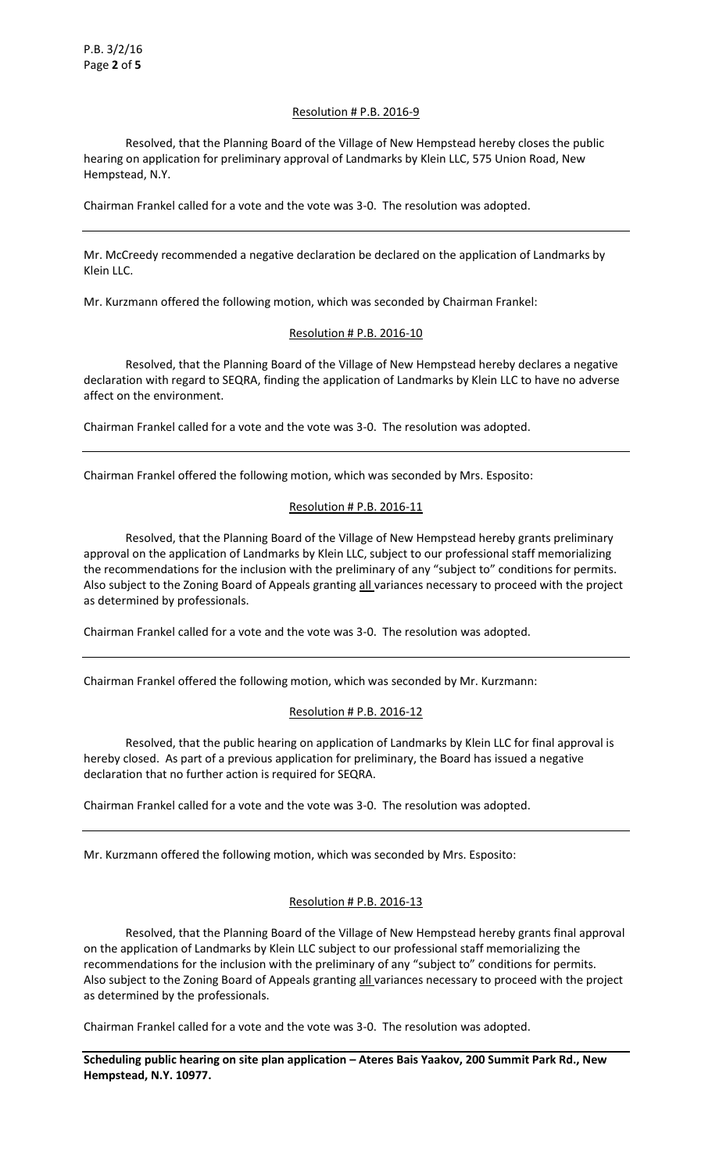# Resolution # P.B. 2016-9

 Resolved, that the Planning Board of the Village of New Hempstead hereby closes the public hearing on application for preliminary approval of Landmarks by Klein LLC, 575 Union Road, New Hempstead, N.Y.

Chairman Frankel called for a vote and the vote was 3-0. The resolution was adopted.

Mr. McCreedy recommended a negative declaration be declared on the application of Landmarks by Klein LLC.

Mr. Kurzmann offered the following motion, which was seconded by Chairman Frankel:

# Resolution # P.B. 2016-10

 Resolved, that the Planning Board of the Village of New Hempstead hereby declares a negative declaration with regard to SEQRA, finding the application of Landmarks by Klein LLC to have no adverse affect on the environment.

Chairman Frankel called for a vote and the vote was 3-0. The resolution was adopted.

Chairman Frankel offered the following motion, which was seconded by Mrs. Esposito:

# Resolution # P.B. 2016-11

 Resolved, that the Planning Board of the Village of New Hempstead hereby grants preliminary approval on the application of Landmarks by Klein LLC, subject to our professional staff memorializing the recommendations for the inclusion with the preliminary of any "subject to" conditions for permits. Also subject to the Zoning Board of Appeals granting all variances necessary to proceed with the project as determined by professionals.

Chairman Frankel called for a vote and the vote was 3-0. The resolution was adopted.

Chairman Frankel offered the following motion, which was seconded by Mr. Kurzmann:

# Resolution # P.B. 2016-12

 Resolved, that the public hearing on application of Landmarks by Klein LLC for final approval is hereby closed. As part of a previous application for preliminary, the Board has issued a negative declaration that no further action is required for SEQRA.

Chairman Frankel called for a vote and the vote was 3-0. The resolution was adopted.

Mr. Kurzmann offered the following motion, which was seconded by Mrs. Esposito:

# Resolution # P.B. 2016-13

 Resolved, that the Planning Board of the Village of New Hempstead hereby grants final approval on the application of Landmarks by Klein LLC subject to our professional staff memorializing the recommendations for the inclusion with the preliminary of any "subject to" conditions for permits. Also subject to the Zoning Board of Appeals granting all variances necessary to proceed with the project as determined by the professionals.

Chairman Frankel called for a vote and the vote was 3-0. The resolution was adopted.

**Scheduling public hearing on site plan application – Ateres Bais Yaakov, 200 Summit Park Rd., New Hempstead, N.Y. 10977.**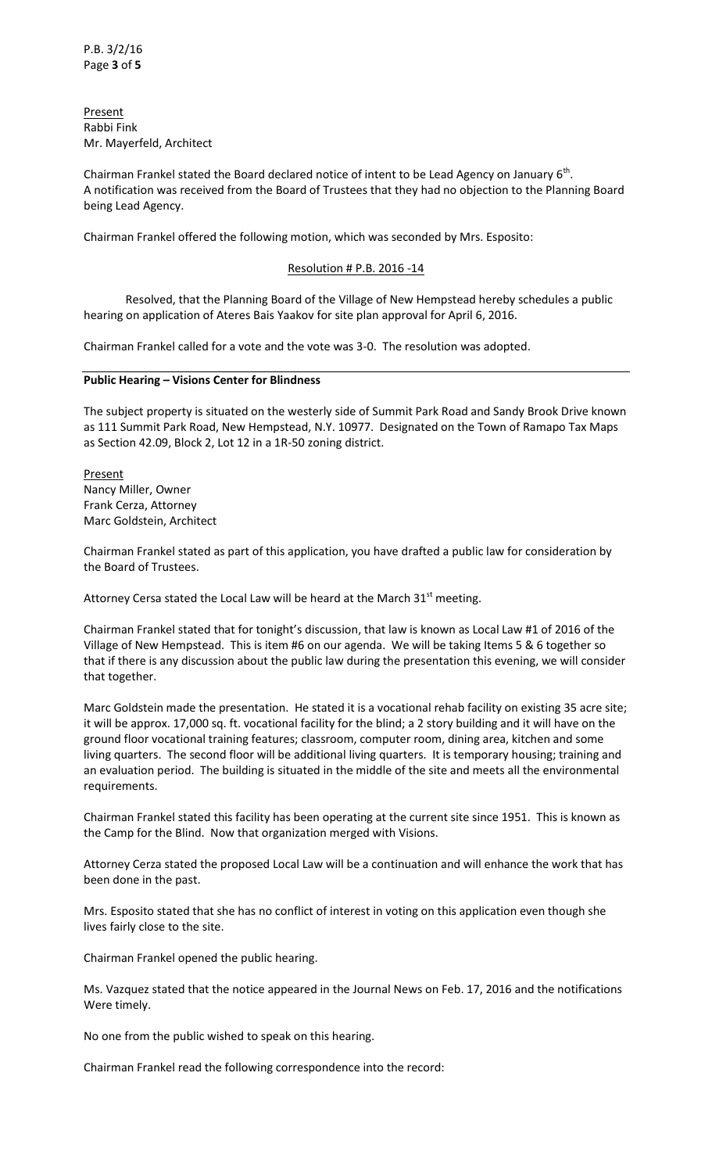Present Rabbi Fink Mr. Mayerfeld, Architect

Chairman Frankel stated the Board declared notice of intent to be Lead Agency on January 6<sup>th</sup>. A notification was received from the Board of Trustees that they had no objection to the Planning Board being Lead Agency.

Chairman Frankel offered the following motion, which was seconded by Mrs. Esposito:

# Resolution # P.B. 2016 -14

 Resolved, that the Planning Board of the Village of New Hempstead hereby schedules a public hearing on application of Ateres Bais Yaakov for site plan approval for April 6, 2016.

Chairman Frankel called for a vote and the vote was 3-0. The resolution was adopted.

# **Public Hearing – Visions Center for Blindness**

The subject property is situated on the westerly side of Summit Park Road and Sandy Brook Drive known as 111 Summit Park Road, New Hempstead, N.Y. 10977. Designated on the Town of Ramapo Tax Maps as Section 42.09, Block 2, Lot 12 in a 1R-50 zoning district.

**Present** Nancy Miller, Owner Frank Cerza, Attorney Marc Goldstein, Architect

Chairman Frankel stated as part of this application, you have drafted a public law for consideration by the Board of Trustees.

Attorney Cersa stated the Local Law will be heard at the March  $31<sup>st</sup>$  meeting.

Chairman Frankel stated that for tonight's discussion, that law is known as Local Law #1 of 2016 of the Village of New Hempstead. This is item #6 on our agenda. We will be taking Items 5 & 6 together so that if there is any discussion about the public law during the presentation this evening, we will consider that together.

Marc Goldstein made the presentation. He stated it is a vocational rehab facility on existing 35 acre site; it will be approx. 17,000 sq. ft. vocational facility for the blind; a 2 story building and it will have on the ground floor vocational training features; classroom, computer room, dining area, kitchen and some living quarters. The second floor will be additional living quarters. It is temporary housing; training and an evaluation period. The building is situated in the middle of the site and meets all the environmental requirements.

Chairman Frankel stated this facility has been operating at the current site since 1951. This is known as the Camp for the Blind. Now that organization merged with Visions.

Attorney Cerza stated the proposed Local Law will be a continuation and will enhance the work that has been done in the past.

Mrs. Esposito stated that she has no conflict of interest in voting on this application even though she lives fairly close to the site.

Chairman Frankel opened the public hearing.

Ms. Vazquez stated that the notice appeared in the Journal News on Feb. 17, 2016 and the notifications Were timely.

No one from the public wished to speak on this hearing.

Chairman Frankel read the following correspondence into the record: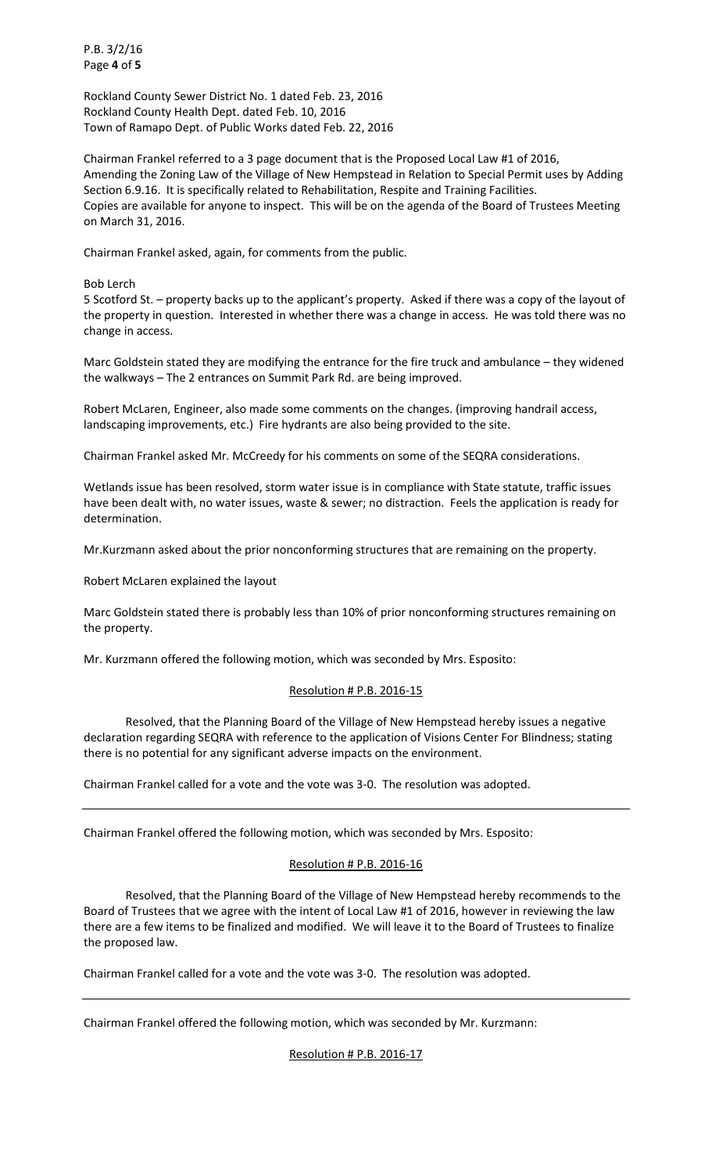P.B. 3/2/16 Page **4** of **5**

Rockland County Sewer District No. 1 dated Feb. 23, 2016 Rockland County Health Dept. dated Feb. 10, 2016 Town of Ramapo Dept. of Public Works dated Feb. 22, 2016

Chairman Frankel referred to a 3 page document that is the Proposed Local Law #1 of 2016, Amending the Zoning Law of the Village of New Hempstead in Relation to Special Permit uses by Adding Section 6.9.16. It is specifically related to Rehabilitation, Respite and Training Facilities. Copies are available for anyone to inspect. This will be on the agenda of the Board of Trustees Meeting on March 31, 2016.

Chairman Frankel asked, again, for comments from the public.

Bob Lerch

5 Scotford St. – property backs up to the applicant's property. Asked if there was a copy of the layout of the property in question. Interested in whether there was a change in access. He was told there was no change in access.

Marc Goldstein stated they are modifying the entrance for the fire truck and ambulance – they widened the walkways – The 2 entrances on Summit Park Rd. are being improved.

Robert McLaren, Engineer, also made some comments on the changes. (improving handrail access, landscaping improvements, etc.) Fire hydrants are also being provided to the site.

Chairman Frankel asked Mr. McCreedy for his comments on some of the SEQRA considerations.

Wetlands issue has been resolved, storm water issue is in compliance with State statute, traffic issues have been dealt with, no water issues, waste & sewer; no distraction. Feels the application is ready for determination.

Mr.Kurzmann asked about the prior nonconforming structures that are remaining on the property.

Robert McLaren explained the layout

Marc Goldstein stated there is probably less than 10% of prior nonconforming structures remaining on the property.

Mr. Kurzmann offered the following motion, which was seconded by Mrs. Esposito:

# Resolution # P.B. 2016-15

 Resolved, that the Planning Board of the Village of New Hempstead hereby issues a negative declaration regarding SEQRA with reference to the application of Visions Center For Blindness; stating there is no potential for any significant adverse impacts on the environment.

Chairman Frankel called for a vote and the vote was 3-0. The resolution was adopted.

Chairman Frankel offered the following motion, which was seconded by Mrs. Esposito:

# Resolution # P.B. 2016-16

 Resolved, that the Planning Board of the Village of New Hempstead hereby recommends to the Board of Trustees that we agree with the intent of Local Law #1 of 2016, however in reviewing the law there are a few items to be finalized and modified. We will leave it to the Board of Trustees to finalize the proposed law.

Chairman Frankel called for a vote and the vote was 3-0. The resolution was adopted.

Chairman Frankel offered the following motion, which was seconded by Mr. Kurzmann:

Resolution # P.B. 2016-17